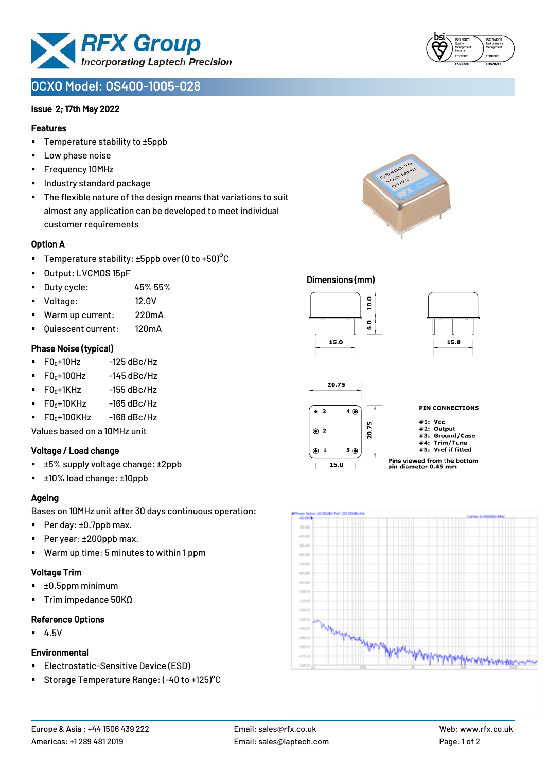

# **OCXO Model: OS400-1005-028**

#### Issue 2; 17th May 2022

#### Features

- Temperature stability to ±5ppb
- Low phase noise
- Frequency 10MHz
- Industry standard package
- The flexible nature of the design means that variations to suit almost any application can be developed to meet individual customer requirements

#### Option A

- **•** Temperature stability:  $\pm 5$ ppb over (0 to  $+50$ )<sup>o</sup>C
- Output: LVCMOS 15pF
- Duty cycle: 45% 55%
- Voltage: 12.0V
- Warm up current: 220mA
- Quiescent current: 120mA

#### Phase Noise (typical)

- $\bullet$  F0 $_0+10$ Hz -125 dBc/Hz
- $F0_0+100$ Hz  $-145$  dBc/Hz
- $\blacksquare$  F0 $_0$ +1KHz -155 dBc/Hz
- $\blacksquare$  F0<sub>0</sub>+10KHz -165 dBc/Hz
- $F0_0+100$ KHz  $-168$  dBc/Hz

Values based on a 10MHz unit

## Voltage / Load change

- ±5% supply voltage change: ±2ppb
- ±10% load change: ±10ppb

## Ageing

Bases on 10MHz unit after 30 days continuous operation:

- Per day: ±0.7ppb max.
- Per year: ±200ppb max.
- Warm up time: 5 minutes to within 1 ppm

#### Voltage Trim

- ±0.5ppm minimum
- Trim impedance 50KΩ

#### Reference Options

▪ 4.5V

#### **Environmental**

- Electrostatic-Sensitive Device (ESD)
- Storage Temperature Range: (-40 to +125)°C



ISO 14001  $C$ 



#### Dimensions (mm)